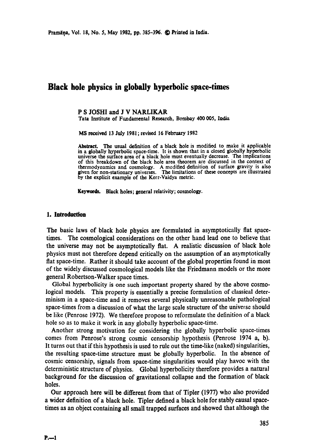# **Black hole physics in globally hyperbolic space-times**

# P S JOSHI and J V NARLIKAR

Tata Institute of Fundamental Research, Bombay 400 005, India

MS received 13 July 1981; revised 16 February 1982

Abstract. The usual definition of a black hole is modified to make it applicable in a globally hyperbolic space-time. It is shown that in a closed globally hyperbolic universe the surface area of a black hole must eventually decrease. The implications of this breakdown of the black hole area theorem are discussed in the context of thermodynamics and cosmology. A modified definition of surface gravity is also given for non-stationary universes. The limitations of these concepts are illustrated by the explicit example of the Kerr-Vaidya metric.

**Keywocds. Black holes; general relativity; cosmology,** 

#### **1. Introduction**

The basic laws of black hole physics are formulated in asymptotically flat spacetimes. The cosmological considerations on the other hand lead one to believe that the universe may not be asymptotically fiat. A realistic discussion of black hole physics must not therefore depend critically on the assumption of an asymptotically flat space-time. Rather it should take account of the global properties found in most of the widely discussed cosmological models like the Friedmann models or the more general Robertson-Walker space times.

Global hyperbolicity is one such important property shared by the above cosmological models. This property is essentially a precise formulation of classical determinism in a space-time and it removes several physically unreasonable pathological space-times from a discussion of what the large scale structure of the universe should be like (Penrose 1972). We therefore propose to reformulate the definition of a black hole so as to make it work in any globally hyperbolic space-time.

Another strong motivation for considering the globally hyperbolic space-times comes from Penrose's strong cosmic censorship hypothesis (Penrose 1974 a, b). It turns out that if this hypothesis is used to rule out the time-like (naked) singularities, the resulting space-time structure must be globally hyperbolic. In the absence of cosmic censorship, signals from space-time singularities would play havoc with the deterministic structure of physics. Global hyperbolicity therefore provides a natural background for the discussion of gravitational collapse and the formation of black holes.

Our approach here will be different from that of Tipler (1977) who also provided a wider definition of a black hole. Tipler defined a black hole for stably causal spacetimes as an object containing all small trapped surfaces and showed that although the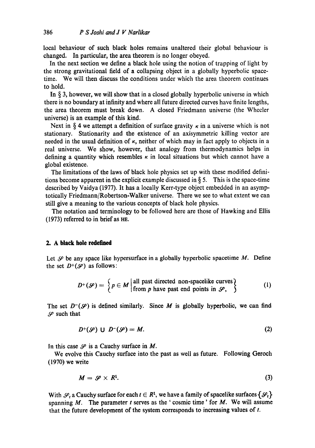local behaviour of such black holes remains unaltered their global behaviour is changed. In particular, the area theorem is no longer obeyed.

In the next section we define a black hole using the notion of trapping of light by the strong gravitational field of a collapsing object in a globally hyperbolic spacetime. We will then discuss the conditions under which the area theorem continues to hold.

In  $\S$  3, however, we will show that in a closed globally hyperbolic universe in which there is no boundary at infinity and where all future directed curves have finite lengths, the area theorem must break down. A closed Friedmann universe (the Wheeler universe) is an example of this kind.

Next in § 4 we attempt a definition of surface gravity  $\kappa$  in a universe which is not stationary. Stationarity and the existence of an axisymmetric killing vector are needed in the usual definition of  $\kappa$ , neither of which may in fact apply to objects in a real universe. We show, however, that analogy from thermodynamics helps in defining a quantity which resembles  $\kappa$  in local situations but which cannot have a global existence.

The limitations of the laws of black hole physics set up with these modified definitions become apparent in the explicit example discussed in  $\S$  5. This is the space-time described by Vaidya (1977). It has a locally Kerr-type object embedded in an asymptotically Friedmann/Robertson-Walker universe. There we see to what extent we can still give a meaning to the various concepts of black hole physics.

The notation and terminology to be followed here are those of Hawking and Ellis (1973) referred to in brief as HE.

## **2. A black hole redefined**

Let  $\mathscr{S}$  be any space like hypersurface in a globally hyperbolic spacetime M. Define the set  $D^{+}(\mathcal{S})$  as follows:

$$
D^{+}(\mathcal{S}) = \left\{ p \in M \middle| \text{all past directed non-spacelike curves} \atop \text{from } p \text{ have past end points in } \mathcal{S}, \right\}
$$
 (1)

The set  $D^{-1}(\mathcal{S})$  is defined similarly. Since M is globally hyperbolic, we can find  $\mathscr S$  such that

$$
D^{+}(\mathscr{S}) \cup D^{-}(\mathscr{S}) = M. \tag{2}
$$

In this case  $\mathcal S$  is a Cauchy surface in M.

We evolve this Cauchy surface into the past as well as future. Following Geroch (1970) we write

$$
M = \mathscr{S} \times R^1. \tag{3}
$$

With  $\mathcal{S}_t$  a Cauchy surface for each  $t \in \mathbb{R}^1$ , we have a family of spacelike surfaces  $\{\mathcal{S}_t\}$ spanning  $M$ . The parameter t serves as the ' cosmic time' for  $M$ . We will assume that the future development of the system corresponds to increasing values of t.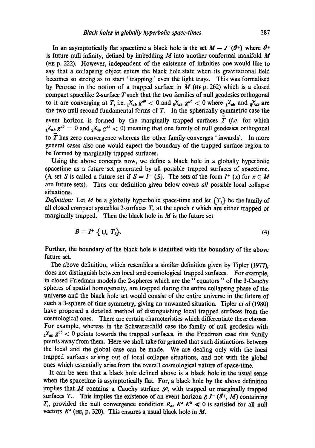In an asymptotically flat spacetime a black hole is the set  $M - J<sup>-1</sup>(1)$  where  $1<sup>1</sup>$ + is future null infinity, defined by imbedding M into another conformal manifold  $\overline{M}$ (tIE p. 222). However, independent of the existence of infinities one would like to say that a collapsing object enters the black hole state when its gravitational field becomes so strong as to start ' trapping' even the light trays. This was formalised by Penrose in the notion of a trapped surface in  $M$  (HE p. 262) which is a closed compact spacelike 2-surface  $T$  such that the two families of null geodesics orthogonal to it are converging at T, i.e.  $_1\chi_{ab}$   $g^{ab}$   $\lt$  0 and  $_2\chi_{ab}$   $g^{ab}$   $\lt$  0 where  $_1\chi_{ab}$  and  $_3\chi_{ab}$  are the two null second fundamental forms of T. In the spherically symmetric case the event horizon is formed by the marginally trapped surfaces  $\tilde{T}$  (*i.e.* for which  $x_1X_{ab}$   $g^{ab} = 0$  and  $x_2X_{ab}$   $g^{ab} < 0$ ) meaning that one family of null geodesics orthogonal to  $\tilde{T}$  has zero convergence whereas the other family converges 'inwards'. In more general cases also one would expect the boundary of the trapped surface region to be formed by marginally trapped surfaces.

Using the above concepts now, we define a black hole in a globally hyperbolic spacetime as a future set generated by all possible trapped surfaces of spacetime. (A set S is called a future set if  $S = I^+$  (S). The sets of the form  $I^+$  (x) for  $x \in M$ are future sets). Thus our definition given below covers *all* possible local collapse situations.

*Definition:* Let M be a globally hyperbolic space-time and let  $\{T_t\}$  be the family of all closed compact spacelike 2-surfaces  $T_t$  at the epoch t which are either trapped or marginally trapped. Then the black hole in  $M$  is the future set

$$
B \equiv I^+ \{ U_t \ T_t \}. \tag{4}
$$

Further, the boundary of the black hole is identified with the boundary of the above future set.

The above definition, which resembles a similar definition given by Tipler (1977), does not distinguish between local and cosmological trapped surfaces. For example, in closed Friedman models the 2-spheres which are the "equators" of the 3-Cauchy spheres of spatial homogeneity, are trapped during the entire collapsing phase of the universe and the black hole set would consist of the entire universe in the future of such a 3-sphere of time symmetry, giving an unwanted situation. Tipler *et al* (1980) have proposed a detailed method of distinguishing local trapped surfaces from the cosmological ones. There are certain characteristics which differentiate these classes. For example, whereas in the Schwarzschild case the family of null geodesics with  $2^{\chi_{ab}} g^{ab} < 0$  points towards the trapped surfaces, in the Friedman case this family points away from them. Here we shall take for granted that such distinctions between the local and the global case can be made. We are dealing only with the local trapped surfaces arising out of local collapse situations, and not with the global ones which essentially arise from the overall cosmological nature of space-time,

It can be seen that a black hole defined above is a black hole in the usual sense when the spacetime is asymptotically fiat. For, a black hole by the above definition implies that M contains a Cauchy surface  $\mathcal{S}_t$  with trapped or marginally trapped surfaces  $T_t$ . This implies the existence of an event horizon  $\partial J^-(\mathcal{I}^+, M)$  containing  $T_t$ , provided the null convergence condition  $R_{ab} K^a K^b \ll 0$  is satisfied for all null vectors  $K^a$  (HE, p. 320). This ensures a usual black hole in M.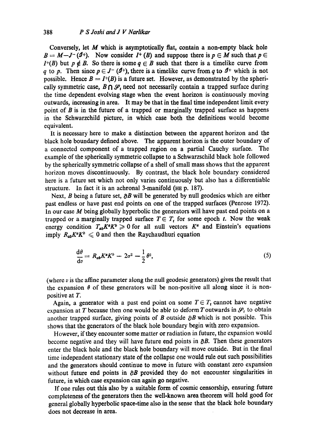Conversely, let  $M$  which is asymptotically flat, contain a non-empty black hole  $B = M-J^{-}(\mathcal{I}^{+})$ . Now consider  $I^{+}(B)$  and suppose there is  $p \in M$  such that  $p \in$  $I^+(B)$  but  $p \notin B$ . So there is some  $q \in B$  such that there is a timelike curve from q to p. Then since  $p \in J^-(\mathcal{I}^+)$ , there is a timelike curve from q to  $\mathcal{I}^+$  which is not possible. Hence  $B = I<sup>+</sup>(B)$  is a future set. However, as demonstrated by the spherically symmetric case,  $B \cap \mathcal{S}_t$  need not necessarily contain a trapped surface during the time dependent evolving stage when the event horizon is continuously moving outwards, increasing in area. It may be that in the final time independent limit every point of B is in the future of a trapped or marginally trapped surface as happens in the Schwarzchild picture, in which ease both the definitions would become equivalent.

It is necessary here to make a distinction between the apparent horizon and the black hole boundary defined above. The apparent horizon is the outer boundary of a connected component of a trapped region on a partial Cauchy surface. The example of the spherically symmetric collapse to a Schwarzschild black hole followed by the spherically symmetric collapse of a shell of small mass shows that the apparent horizon moves discontinuously. By contrast, the black hole boundary considered here is a future set which not only varies continuously but also has a differentiable structure. In fact it is an achronal 3-manifold (HE p. 187).

Next, B being a future set,  $\partial B$  will be generated by null geodesics which are either past endless or have past end points on one of the trapped surfaces (Penrose 1972). In our case M being globally hyperbolic the generators will have past end points on a trapped or a marginally trapped surface  $T \in T_t$  for some epoch t. Now the weak energy condition  $T_{ab}K^aK^b \ge 0$  for all null vectors  $K^a$  and Einstein's equations imply  $R_{ab}K^aK^b \leq 0$  and then the Raychaudhuri equation

$$
\frac{\mathrm{d}\theta}{\mathrm{d}v} = R_{ab}K^a K^b - 2\sigma^2 - \frac{1}{2}\theta^2,\tag{5}
$$

(where  $v$  is the affine parameter along the null geodesic generators) gives the result that the expansion  $\theta$  of these generators will be non-positive all along since it is nonpositive at T.

Again, a generator with a past end point on some  $T \in T_t$  cannot have negative expansion at T because then one would be able to deform T outwards in  $\mathcal{S}_t$  to obtain another trapped surface, giving points of B outside  $\partial B$  which is not possible. This shows that the generators of the black hole boundary begin with zero expansion.

However, if they encounter some matter or radiation in future, the expansion would become negative and they will have future end points in  $\partial B$ . Then these generators enter the black hole and the black hole boundary will move outside. But in the final time independent stationary state of the collapse one would rule out such possibilities and the generators should continue to move in future with constant zero expansion without future end points in  $\partial B$  provided they do not encounter singularities in future, in which case expansion can again go negative.

If one rules out this also by a suitable form of cosmic censorship, ensuring future completeness of the generators then the well-known area theorem will hold good for general globally hyperbolic space-time also in the sense that the black hole boundary does not decrease in area.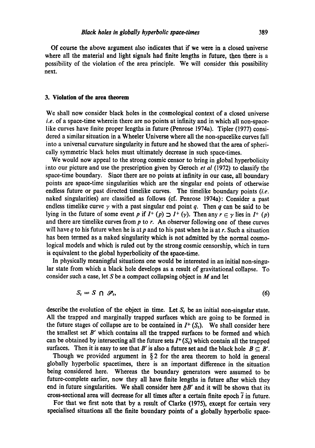Of course the above argument also indicates that if we were in a closed universe where all the material and light signals had finite lengths in future, then there is a possibility of the violation of the area principle. We will consider this possibility next.

#### **3. Violation of the area theorem**

We shall now consider black holes in the cosmological context of a closed universe *i.e.* of a space-time wherein there are no points at infinity and in which all non-spacelike curves have finite proper lengths in future (Penrose 1974a). Tipler (1977) considered a similar situation in a Wheeler Universe where all the non-spacelike curves fall into a universal curvature singularity in future and he showed that the area of spherically symmetric black holes must ultimately decrease in such space-times.

We would now appeal to the strong cosmic censor to bring in global hyperbolicity into our picture and use the prescription given by Oeroch *et al* (1972) to classify the space-time boundary. Since there are no points at infinity in our case, all boundary points are space-time singularities which are the singular end points of otherwise endless future or past directed timelike curves. The timelike boundary points *(i.e.*  naked singularities) are classified as follows (cf. Penrose 1974a): Consider a past endless timelike curve  $\gamma$  with a past singular end point q. Then q can be said to be lying in the future of some event p if  $I^+(p) \supset I^+(y)$ . Then any  $r \in \gamma$  lies in  $I^+(p)$ and there are timelike curves from  $p$  to  $r$ . An observer following one of these curves will have q to his future when he is at p and to his past when he is at r. Such a situation has been termed as a naked singularity which is not admitted by the normal cosmological models and which is ruled out by the strong cosmic censorship, which in turn is equivalent to the global hyperbolicity of the space-time.

In physically meaningful situations one would be interested in an initial non-singular state from which a black hole develops as a result of gravitational collapse. To consider such a case, let S be a compact collapsing object in  $M$  and let

$$
S_t = S \cap \mathcal{S}_t, \tag{6}
$$

describe the evolution of the object in time. Let  $S_t$  be an initial non-singular state. All the trapped and marginally trapped surfaces which are going to be formed in the future stages of collapse are to be contained in  $I^+(S_t)$ . We shall consider here the smallest set  $B'$  which contains all the trapped surfaces to be formed and which can be obtained by intersecting all the future sets  $I^+(S_t)$  which contain all the trapped surfaces. Then it is easy to see that B' is also a future set and the black hole  $B \subseteq B'$ .

Though we provided argument in  $\S 2$  for the area theorem to hold in general globally hyperbolic spacetimes, there is an important difference in the situation being considered here. Whereas the boundary generators were assumed to be future-complete earlier, now they all have finite lengths in future after which they end in future singularities. We shall consider here  $\partial B'$  and it will be shown that its cross-sectional area will decrease for all times after a certain finite epoch  $\tilde{t}$  in future.

For that we first note that by a result of Clarke (1975), except for certain very specialised situations all the finite boundary points of a globally hyperbolic space-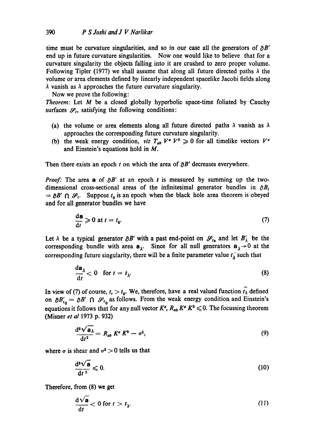time must be curvature singularities, and so in our case all the generators of  $\partial B'$ end up in future curvature singularities. Now one would like to believe that for a curvature singularity the objects falling into it are crushed to zero proper volume. Following Tipler (1977) we shall assume that along all future directed paths  $\lambda$  the volume or area elements defined by linearly independent spacelike Jacobi fields along  $\lambda$  vanish as  $\lambda$  approaches the future curvature singularity.

Now we prove the following:

*Theorem:* Let M be a closed globally hyperbolic space-time foliated by Cauchy surfaces  $\mathcal{S}_t$ , satisfying the following conditions:

- (a) the volume or area elements along all future directed paths  $\lambda$  vanish as  $\lambda$ approaches the corresponding future curvature singularity.
- (b) the weak energy condition, *viz*  $T_{ab}$   $V^a$   $V^b \ge 0$  for all timelike vectors  $V^a$ and Einstein's equations hold in M.

Then there exists an epoch  $t$  on which the area of  $\partial B'$  decreases everywhere.

*Proof:* The area a of  $\partial B'$  at an epoch t is measured by summing up the twodimensional cross-sectional areas of the infinitesimal generator bundles in  $\partial B_t$  $= \partial B' \cap \mathcal{S}_t$ . Suppose  $t_0$  is an epoch when the black hole area theorem is obeyed and for all generator bundles we have

$$
\frac{\mathrm{d}\mathbf{a}}{\mathrm{d}t} \geqslant 0 \text{ at } t = t_0. \tag{7}
$$

Let  $\lambda$  be a typical generator  $\partial B'$  with a past end-point on  $\mathscr{S}_{t_0}$  and let  $B'_\lambda$  be the corresponding bundle with area  $a_{\lambda}$ . Since for all null generators  $a_{\lambda} \rightarrow 0$  at the corresponding future singularity, there will be a finite parameter value  $t_{\lambda}$  such that

$$
\frac{d\mathbf{a}_{\lambda}}{dt} < 0 \quad \text{for } t = t_{\lambda}.\tag{8}
$$

In view of (7) of course,  $t_t > t_0$ . We, therefore, have a real valued function  $\tilde{t}_\lambda$  defined on  $\partial B'_{t_0} = \partial B' \cap \mathcal{S}_{t_0}$  as follows. From the weak energy condition and Einstein's equations it follows that for any null vector  $K^a$ ,  $R_{ab} K^a K^b \leq 0$ . The focussing theorem (Misner *et al* 1973 p. 932)

$$
\frac{\mathrm{d}^2 \sqrt{a_{\lambda}}}{\mathrm{d}t^2} = R_{ab} K^a K^b - \sigma^2, \qquad (9)
$$

where  $\sigma$  is shear and  $\sigma^2 > 0$  tells us that

$$
\frac{\mathrm{d}^2 \sqrt{\mathbf{a}}}{\mathrm{d}t^2} \leqslant 0. \tag{10}
$$

Therefore, from (8) we get

$$
\frac{\mathrm{d}\sqrt{\mathbf{a}}}{\mathrm{d}t} < 0 \text{ for } t > t_{\lambda}.\tag{11}
$$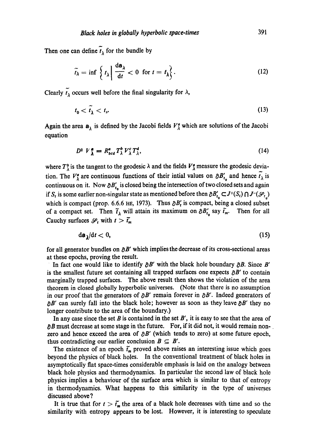Then one can define  $\tilde{t}_{\lambda}$  for the bundle by

$$
\widetilde{t_{\lambda}} = \inf \left\{ t_{\lambda} \middle| \frac{d\mathbf{a}_{\lambda}}{dt} < 0 \ \text{for } t = t_{\lambda} \right\}. \tag{12}
$$

Clearly  $\widetilde{t}_{\lambda}$  occurs well before the final singularity for  $\lambda$ ,

$$
t_0 < \tilde{t}_\lambda < t_s. \tag{13}
$$

Again the area  $a_{\lambda}$  is defined by the Jacobi fields  $V_{\lambda}^{a}$  which are solutions of the Jacobi equation

$$
D^2 V_{\lambda}^a = R_{bcd}^a T_{\lambda}^b V_{\lambda}^c T_{\lambda}^d, \qquad (14)
$$

where  $T_{\lambda}^{b}$  is the tangent to the geodesic  $\lambda$  and the fields  $V_{\lambda}^{a}$  measure the geodesic deviation. The  $V^a_\lambda$  are continuous functions of their intial values on  $\partial B'_{t_\lambda}$  and hence  $\tilde{t}_\lambda$  is continuous on it. Now  $\partial B'_{t_0}$  is closed being the intersection of two closed sets and again if  $S_t$  is some earlier non-singular state as mentioned before then  $\partial B'_{t_0} \subset J^+(S_t) \cap J^-(\mathcal{S}_{t_0})$ which is compact (prop. 6.6.6 HE, 1973). Thus  $\partial B_t$  is compact, being a closed subset of a compact set. Then  $\tilde{t}_{\lambda}$  will attain its maximum on  $\partial B'_{t_0}$  say  $\tilde{t}_m$ . Then for all Cauchy surfaces  $\mathcal{S}_t$  with  $t > \tilde{t}_m$ 

$$
\mathrm{d}\mathbf{a}_{\lambda}/\mathrm{d}t<0,\tag{15}
$$

for all generator bundles on  $\partial B'$  which implies the decrease of its cross-sectional areas at these epochs, proving the result.

In fact one would like to identify  $\partial B'$  with the black hole boundary  $\partial B$ . Since B' is the smallest future set containing all trapped surfaces one expects  $\partial B'$  to contain marginally trapped surfaces. The above result then shows the violation of the area theorem in closed globally hyperbolic universes. (Note that there is no assumption in our proof that the generators of  $\partial B'$  remain forever in  $\partial B'$ . Indeed generators of  $\partial B'$  can surely fall into the black hole; however as soon as they leave  $\partial B'$  they no longer contribute to the area of the boundary.)

In any case since the set B is contained in the set B', it is easy to see that the area of  $\partial B$  must decrease at some stage in the future. For, if it did not, it would remain nonzero and hence exceed the area of  $\partial B'$  (which tends to zero) at some future epoch, thus contradicting our earlier conclusion  $B \subseteq B'$ .

The existence of an epoch  $\tilde{t}_m$  proved above raises an interesting issue which goes beyond the physics of black holes. In the conventional treatment of black holes in asymptotically fiat space-times considerable emphasis is laid on the analogy between black hole physics and thermodynamics. In particular the second law of black hole physics implies a behaviour of the surface area which is similar to that of entropy in thermodynamics. What happens to this similarity in the type of universes discussed above ?

It is true that for  $t > \tilde{t}_m$  the area of a black hole decreases with time and so the similarity with entropy appears to be lost. However, it is interesting to speculate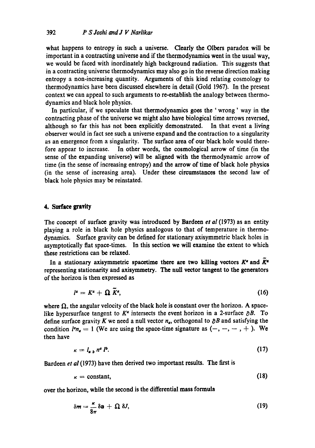what happens to entropy in such a universe. Clearly the Olbers paradox will be important in a contracting universe and if the thermodynamics went in the usual way, we would be faced with inordinately high background radiation. This suggests that in a contracting universe thermodynamics may also go in the reverse direction making entropy a non-increasing quantity. Arguments of this kind relating cosmology to thermodynamics have been discussed elsewhere in detail (Gold 1967). In the present context we can appeal to such arguments to re-establish the analogy between thermodynamics and black hole physics.

In particular, if we speculate that thermodynamics goes the ' wrong' way in the contracting phase of the universe we might also have biological time arrows reversed, although so far this has not been explicitly demonstrated. In that event a living observer would in fact see such a universe expand and the contraction to a singularity as an emergence from a singularity. The surface area of our black hole would therefore appear to increase. In other words, the cosmological arrow of time (in the sense of the expanding universe) will be aligned with the thermodynamic arrow of time (in the sense of increasing entropy) and the arrow of time of black hole physics (in the sense of increasing area). Under these circumstances the second law of black hole physics may be reinstated.

# 4. Sarface gravity

The concept of surface gravity was introduced by Bardeen *et al* (1973) as an entity playing a role in black hole physics analogous to that of temperature in thermodynamics. Surface gravity can be defined for stationary axisymmetric black holes in asymptotically flat space-times. In this section we will examine the extent to which these restrictions can be relaxed.

In a stationary axisymmetric spacetime there are two killing vectors  $K^e$  and  $\bar{K}^e$ representing stationarity and axisymmetry. The null vector tangent to the generators of the horizon is then expressed as

$$
l^a = K^a + \Omega \ \widetilde{K}^a, \tag{16}
$$

where  $\Omega$ , the angular velocity of the black hole is constant over the horizon. A spacelike hypersurface tangent to  $K^a$  intersects the event horizon in a 2-surface  $\partial B$ . To define surface gravity K we need a null vector  $n_a$ , orthogonal to  $\partial B$  and satisfying the condition  $l^a n_a = 1$  (We are using the space-time signature as  $(-, -, -, +)$ . We then have

$$
\kappa = l_{a,b} n^a l^b. \tag{17}
$$

Bardecn *et al* (1973) have then derived two important results. The first is

$$
\kappa = constant,\tag{18}
$$

over the horizon, while the second is the differential mass formula

$$
\delta m = \frac{\kappa}{8\pi} \delta a + \Omega \delta J, \qquad (19)
$$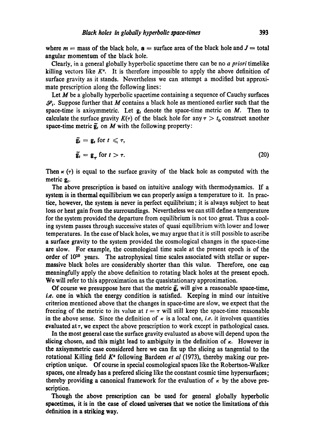where  $m =$  mass of the black hole,  $a =$  surface area of the black hole and  $J =$  total angular momentum of the black hole.

Clearly, in a general globally hyperbolic spacetime there can be no *a priori* timelike killing vectors like  $K^a$ . It is therefore impossible to apply the above definition of surface gravity as it stands. Nevertheless we can attempt a modified but approximate prescription along the following lines:

Let  $M$  be a globally hyperbolic spacetime containing a sequence of Cauchy surfaces  $\mathcal{S}_t$ . Suppose further that M contains a black hole as mentioned earlier such that the space-time is axisymmetric. Let  $g_t$  denote the space-time metric on M. Then to calculate the surface gravity  $K(\tau)$  of the black hole for any  $\tau > t_0$  construct another space-time metric  $\tilde{g}_t$  on M with the following property:

$$
\tilde{\mathbf{g}}_t = \mathbf{g}_t \text{ for } t \leq \tau,
$$
\n
$$
\tilde{\mathbf{g}}_t = \mathbf{g}_\tau \text{ for } t > \tau.
$$
\n(20)

Then  $\kappa$  ( $\tau$ ) is equal to the surface gravity of the black hole as computed with the metric  $g_t$ .

The above prescription is based on intuitive analogy with thermodynamics. If a system is in thermal equiIlibrium we can properly assign a temperature to it. In practice, however, the system is never in perfect equilibrium; it is always subject to heat loss or heat gain from the surroundings. Nevertheless we can still define a temperature for the system provided the departure from equilibrium is not too great. Thus a cooling system passes through successive states of quasi equilibrium with lower and lower temperatures. In the case of black holes, we may argue that it is still possible to ascribe a surface gravity to the system provided the cosmological changes in the space-time are slow. For example, the cosmological time scale at the present epoch is of the order of  $10^{10}$  years. The astrophysical time scales associated with stellar or supermassive black holes are considerably shorter than this value. Therefore, one can meaningfully apply the above definition to rotating black holes at the present epoch. We will refer to this approximation as the quasistationary approximation.

Of course we presuppose here that the metric  $\tilde{g}_t$  will give a reasonable space-time, *i.e.* one in which the energy condition is satisfied. Keeping in mind our intuitive criterion mentioned above that the Changes in space-time are slow, we expect that the freezing of the metric to its value at  $t = \tau$  will still keep the space-time reasonable in the above sense. Since the definition of  $\kappa$  is a local one, *i.e.* it involves quantities evaluated at  $\tau$ , we expect the above prescription to work except in pathological cases.

In the most general case the surface gravity evaluated as above will depend upon the slicing chosen, and this might lead to ambiguity in the definition of  $\kappa$ . However in the axisymmetric case considered here we can fix up the slicing as tangential to the rotational Killing field K<sup>a</sup> following Bardeen *et al* (1973), thereby making our precription unique. Of course in special cosmological spaces like the Robertson-Walker spaces, one already has a prefered slicing like the constant cosmic time hypersurfaces; thereby providing a canonical framework for the evaluation of  $\kappa$  by the above prescription.

Though the above prescription can be used for general globally hyperbolic spacetimes, it is in the case of closed universes that we notice the limitations of this definition in a striking **way.**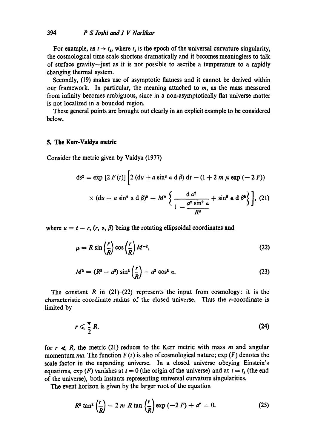For example, as  $t \rightarrow t_s$ , where  $t_s$  is the epoch of the universal curvature singularity, the cosmological time scale shortens dramatically and it becomes meaningless to talk of surface gravity--just as it is not possible to ascribe a temperature to a rapidly changing thermal system.

Secondly, (19) makes use of asymptotic flatness and it cannot be derived within our framework. In particular, the meaning attached to  $m$ , as the mass measured from infinity becomes ambiguous, since in a non-asymptotically flat universe matter is not localized in a bounded region.

These general points are brought out dearly in an explicit example to be considered below.

### 5. The Kerr-Vaidya metric

Consider the metric given by Vaidya (1977)

$$
ds^{2} = \exp [2 F(t)] \left[ 2 (du + a \sin^{2} a d \beta) dt - (1 + 2 m \mu \exp (-2 F)) \right]
$$
  
 
$$
\times (du + a \sin^{2} a d \beta)^{2} - M^{2} \left\{ \frac{d a^{2}}{1 - \frac{a^{2} \sin^{2} a}{R^{2}}} + \sin^{2} \alpha d \beta^{2} \right\}, (21)
$$

where  $u = t - r$ ,  $(r, \alpha, \beta)$  being the rotating ellipsoidal coordinates and

$$
\mu = R \sin\left(\frac{r}{R}\right) \cos\left(\frac{r}{R}\right) M^{-2},\tag{22}
$$

$$
M^{2} = (R^{2} - a^{2}) \sin^{2} \left(\frac{r}{R}\right) + a^{2} \cos^{2} \alpha.
$$
 (23)

The constant R in  $(21)$ - $(22)$  represents the input from cosmology: it is the characteristic coordinate radius of the closed universe. Thus the r-coordinate is limited by

$$
r \leqslant \frac{\pi}{2} R. \tag{24}
$$

for  $r \le R$ , the metric (21) reduces to the Kerr metric with mass m and angular momentum *ma*. The function  $F(t)$  is also of cosmological nature;  $\exp(F)$  denotes the scale factor in the expanding universe. In a closed universe obeying Einstein's equations,  $\exp(F)$  vanishes at  $t = 0$  (the origin of the universe) and at  $t = t<sub>s</sub>$  (the end of the universe), both instants representing universal curvature singularities.

The event horizon is given by the larger root of the equation

$$
R^2 \tan^2 \left(\frac{r}{R}\right) - 2 m R \tan \left(\frac{r}{R}\right) \exp(-2 F) + a^2 = 0. \tag{25}
$$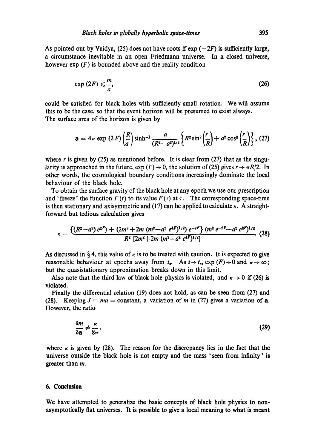As pointed out by Vaidya, (25) does not have roots if  $exp(-2F)$  is sufficiently large, a circumstance inevitable in an open Friedmann universe. In a closed universe, however  $\exp(F)$  is bounded above and the reality condition

$$
\exp(2F) \leqslant \frac{m}{a},\tag{26}
$$

could be satisfied for black holes with sufficiently small rotation. We will assume this to be the case, so that the event horizon will be presumed to exist always. The surface area of the horizon is given by

$$
\mathbf{a} = 4\pi \exp (2F) \left(\frac{R}{a}\right) \sinh^{-1} \frac{a}{(R^2 - a^2)^{1/2}} \left\{ R^2 \sin^2 \left(\frac{r}{R}\right) + a^2 \cos^2 \left(\frac{r}{R}\right) \right\}, (27)
$$

where r is given by (25) as mentioned before. It is clear from (27) that as the singularity is approached in the future,  $\exp(F) \rightarrow 0$ , the solution of (25) gives  $r \rightarrow \pi R/2$ . In other words, the cosmological boundary conditions increasingly dominate the local behaviour of the black hole.

To obtain the surface gravity of the black hole at any epoch we use our prescription and 'freeze' the function  $F(t)$  to its value  $F(\tau)$  at  $\tau$ . The corresponding space-time is then stationary and axisymmetric and (17) can be applied to calculate  $\kappa$ . A straightforward but tedious calculation gives

$$
\kappa = \frac{\{(R^2-a^2)e^{2F}\} + (2m^2+2m(m^2-a^2)e^{4F})^{1/2}\}e^{-2F}\} (m^2e^{-2F}-a^2e^{2F})^{1/2}}{R^2 [2m^2+2m(m^2-a^2)e^{4F})^{1/2}]}
$$
(28)

As discussed in § 4, this value of  $\kappa$  is to be treated with caution. It is expected to give reasonable behaviour at epochs away from  $t<sub>s</sub>$ . As  $t \rightarrow t<sub>s</sub>$ , exp  $(F) \rightarrow 0$  and  $\kappa \rightarrow \infty$ ; but the quasistationary approximation breaks down in this limit.

Also note that the third law of black hole physics is violated, and  $\kappa \to 0$  if (26) is violated.

Finally the differential relation (19) does not hold, as can be seen from (27) and (28). Keeping  $J \equiv ma = \text{constant}$ , a variation of m in (27) gives a variation of a. However, the ratio

$$
\frac{\delta m}{\delta \mathbf{a}} \neq \frac{\kappa}{8\pi},\tag{29}
$$

where  $\kappa$  is given by (28). The reason for the discrepancy lies in the fact that the universe outside the black hole is not empty and the mass 'seen from infinity' is greater than m.

## **6. Conclusion**

**We have attempted to generalize the basic concepts of black hole physics to nonasymptotically flat universes. It is possible to give a local meaning to what is meant**